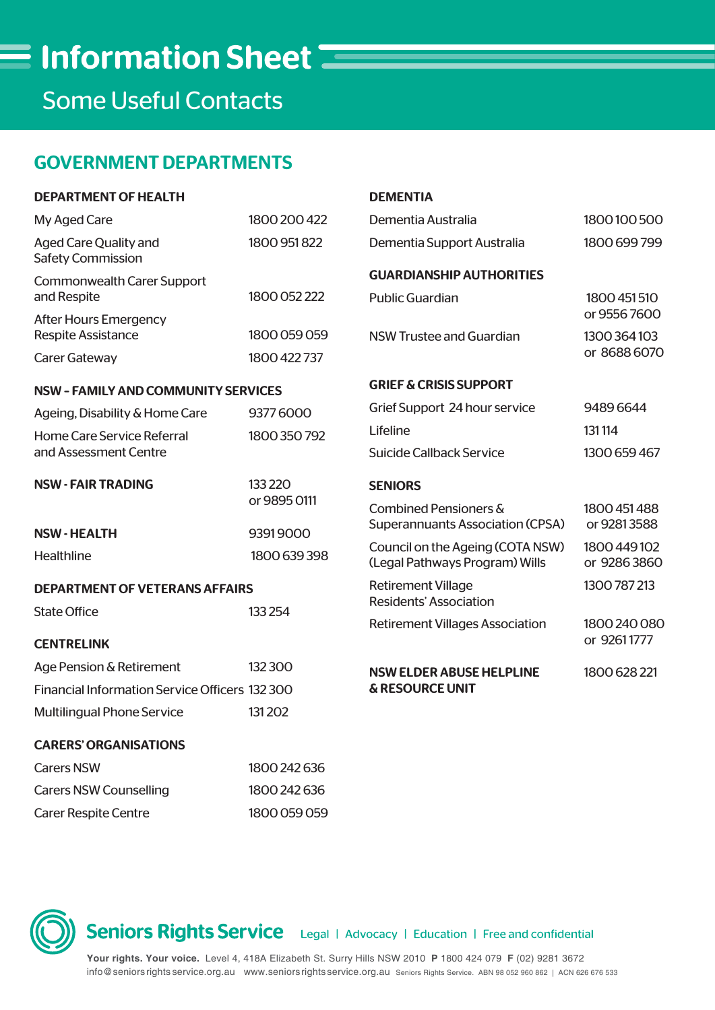Some Useful Contacts

# GOVERNMENT DEPARTMENTS

| <b>DEPARTMENT OF HEALTH</b>                               |                          | <b>DEMENTIA</b>                                                    |                             |
|-----------------------------------------------------------|--------------------------|--------------------------------------------------------------------|-----------------------------|
| My Aged Care                                              | 1800 200 422             | Dementia Australia                                                 | 1800100500                  |
| <b>Aged Care Quality and</b><br><b>Safety Commission</b>  | 1800 951 822             | Dementia Support Australia                                         | 1800 699 799                |
| <b>Commonwealth Carer Support</b>                         |                          | <b>GUARDIANSHIP AUTHORITIES</b>                                    |                             |
| and Respite                                               | 1800 052 222             | <b>Public Guardian</b>                                             | 1800 451 510                |
| <b>After Hours Emergency</b><br><b>Respite Assistance</b> | 1800 059 059             | <b>NSW Trustee and Guardian</b>                                    | or 95567600<br>1300 364 103 |
| <b>Carer Gateway</b>                                      | 1800 422 737             |                                                                    | or 8688 6070                |
| <b>NSW - FAMILY AND COMMUNITY SERVICES</b>                |                          | <b>GRIEF &amp; CRISIS SUPPORT</b>                                  |                             |
| Ageing, Disability & Home Care                            | 93776000                 | Grief Support 24 hour service                                      | 94896644                    |
| Home Care Service Referral                                | 1800 350 792             | Lifeline                                                           | 131114                      |
| and Assessment Centre                                     |                          | <b>Suicide Callback Service</b>                                    | 1300 659 467                |
| <b>NSW - FAIR TRADING</b>                                 | 133 2 20<br>or 9895 0111 | <b>SENIORS</b>                                                     |                             |
|                                                           |                          | Combined Pensioners &                                              | 1800 451 488                |
| <b>NSW-HEALTH</b>                                         | 93919000                 | <b>Superannuants Association (CPSA)</b>                            | or 92813588                 |
| Healthline                                                | 1800 639 398             | Council on the Ageing (COTA NSW)<br>(Legal Pathways Program) Wills | 1800 449 102<br>or 92863860 |
| <b>DEPARTMENT OF VETERANS AFFAIRS</b>                     |                          | <b>Retirement Village</b>                                          | 1300 787 213                |
| <b>State Office</b>                                       | 133 254                  | <b>Residents' Association</b>                                      |                             |
| <b>CENTRELINK</b>                                         |                          | <b>Retirement Villages Association</b>                             | 1800 240 080<br>or 92611777 |
| Age Pension & Retirement                                  | 132300                   |                                                                    |                             |
| Financial Information Service Officers 132 300            |                          | <b>NSW ELDER ABUSE HELPLINE</b><br><b>&amp; RESOURCE UNIT</b>      | 1800 628 221                |
|                                                           |                          |                                                                    |                             |
| Multilingual Phone Service                                | 131 202                  |                                                                    |                             |
| <b>CARERS' ORGANISATIONS</b>                              |                          |                                                                    |                             |
| <b>Carers NSW</b>                                         | 1800 242 636             |                                                                    |                             |
| <b>Carers NSW Counselling</b>                             | 1800 242 636             |                                                                    |                             |

Carer Respite Centre 1800 059 059



**Seniors Rights Service** Legal | Advocacy | Education | Free and confidential

**Your rights. Your voice.** Level 4, 418A Elizabeth St. Surry Hills NSW 2010 **P** 1800 424 079 **F** (02) 9281 3672 info@seniorsrights service.org.au www.seniorsrights service.org.au Seniors Rights Service. ABN 98 052 960 862 | ACN 626 676 533